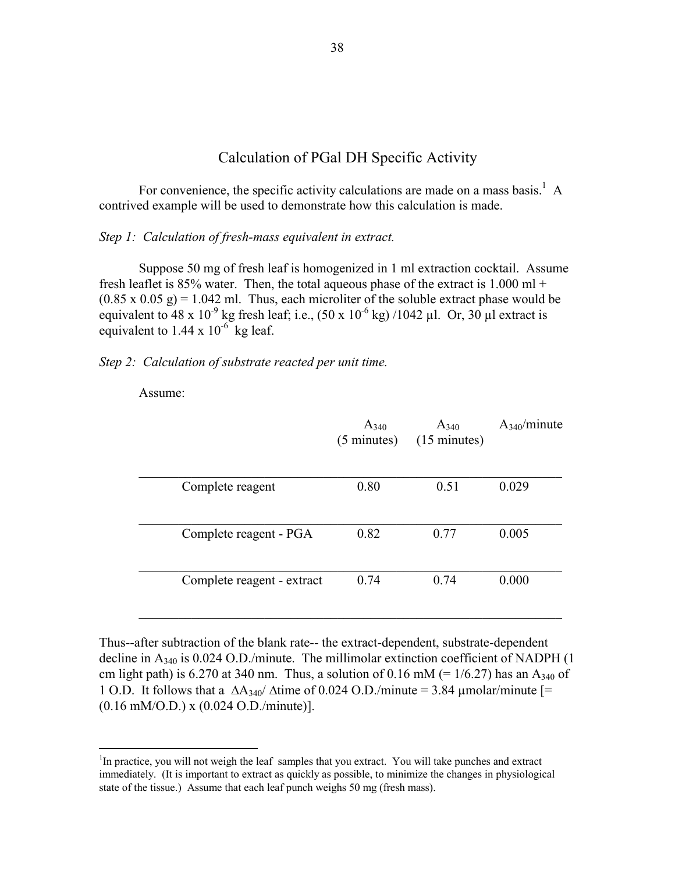## Calculation of PGal DH Specific Activity

For convenience, the specific activity calculations are made on a mass basis.<sup>1</sup> A contrived example will be used to demonstrate how this calculation is made.

## *Step 1: Calculation of fresh-mass equivalent in extract.*

 Suppose 50 mg of fresh leaf is homogenized in 1 ml extraction cocktail. Assume fresh leaflet is 85% water. Then, the total aqueous phase of the extract is  $1.000$  ml +  $(0.85 \times 0.05 \text{ g}) = 1.042 \text{ ml}$ . Thus, each microliter of the soluble extract phase would be equivalent to 48 x 10<sup>-9</sup> kg fresh leaf; i.e.,  $(50 \times 10^{-6} \text{ kg})$  /1042 µl. Or, 30 µl extract is equivalent to  $1.44 \times 10^{-6}$  kg leaf.

## *Step 2: Calculation of substrate reacted per unit time.*

Assume:

 $\overline{a}$ 

|                            | $A_{340}$<br>$(5 \text{ minutes})$ | $A_{340}$<br>$(15 \text{ minutes})$ | $A_{340}/$ minute |
|----------------------------|------------------------------------|-------------------------------------|-------------------|
| Complete reagent           | 0.80                               | 0.51                                | 0.029             |
| Complete reagent - PGA     | 0.82                               | 0.77                                | 0.005             |
| Complete reagent - extract | 0.74                               | 0.74                                | 0.000             |

Thus--after subtraction of the blank rate-- the extract-dependent, substrate-dependent decline in  $A_{340}$  is 0.024 O.D./minute. The millimolar extinction coefficient of NADPH (1) cm light path) is 6.270 at 340 nm. Thus, a solution of 0.16 mM (=  $1/6.27$ ) has an A<sub>340</sub> of 1 O.D. It follows that a  $\Delta A_{340}$   $\Delta t$  time of 0.024 O.D./minute = 3.84 µmolar/minute [= (0.16 mM/O.D.) x (0.024 O.D./minute)].

<sup>&</sup>lt;sup>1</sup>In practice, you will not weigh the leaf samples that you extract. You will take punches and extract immediately. (It is important to extract as quickly as possible, to minimize the changes in physiological state of the tissue.) Assume that each leaf punch weighs 50 mg (fresh mass).